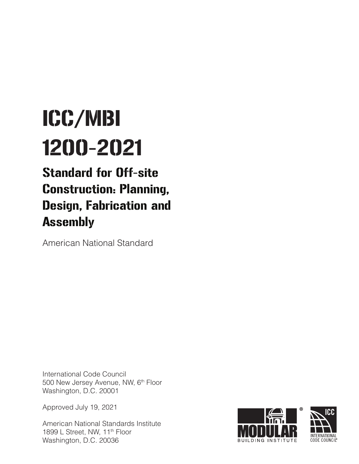# ICC/MBI 1200-2021

## Standard for Off-site Construction: Planning, Design, Fabrication and Assembly

American National Standard

International Code Council 500 New Jersey Avenue, NW, 6<sup>th</sup> Floor Washington, D.C. 20001

Approved July 19, 2021

American National Standards Institute 1899 L Street, NW, 11<sup>th</sup> Floor Washington, D.C. 20036

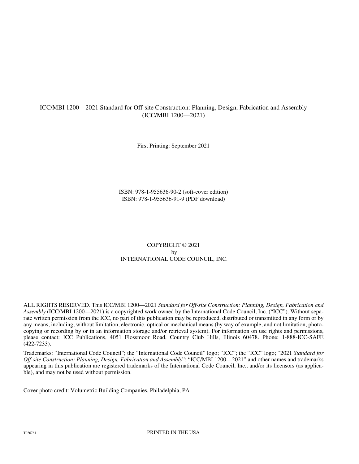#### ICC/MBI 1200—2021 Standard for Off-site Construction: Planning, Design, Fabrication and Assembly (ICC/MBI 1200—2021)

First Printing: September 2021

ISBN: 978-1-955636-90-2 (soft-cover edition) ISBN: 978-1-955636-91-9 (PDF download)

#### COPYRIGHT © 2021 by INTERNATIONAL CODE COUNCIL, INC.

ALL RIGHTS RESERVED. This ICC/MBI 1200—2021 *Standard for Off-site Construction: Planning, Design, Fabrication and Assembly* (ICC/MBI 1200—2021) is a copyrighted work owned by the International Code Council, Inc. ("ICC"). Without separate written permission from the ICC, no part of this publication may be reproduced, distributed or transmitted in any form or by any means, including, without limitation, electronic, optical or mechanical means (by way of example, and not limitation, photocopying or recording by or in an information storage and/or retrieval system). For information on use rights and permissions, please contact: ICC Publications, 4051 Flossmoor Road, Country Club Hills, Illinois 60478. Phone: 1-888-ICC-SAFE (422-7233).

Trademarks: "International Code Council"; the "International Code Council" logo; "ICC"; the "ICC" logo; "2021 *Standard for Off-site Construction: Planning, Design, Fabrication and Assembly*"; "ICC/MBI 1200—2021" and other names and trademarks appearing in this publication are registered trademarks of the International Code Council, Inc., and/or its licensors (as applicable), and may not be used without permission.

Cover photo credit: Volumetric Building Companies, Philadelphia, PA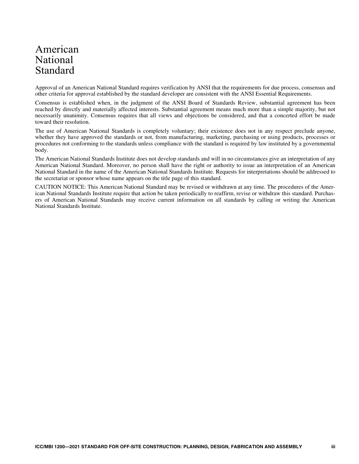## American National Standard

Approval of an American National Standard requires verification by ANSI that the requirements for due process, consensus and other criteria for approval established by the standard developer are consistent with the ANSI Essential Requirements.

Consensus is established when, in the judgment of the ANSI Board of Standards Review, substantial agreement has been reached by directly and materially affected interests. Substantial agreement means much more than a simple majority, but not necessarily unanimity. Consensus requires that all views and objections be considered, and that a concerted effort be made toward their resolution.

The use of American National Standards is completely voluntary; their existence does not in any respect preclude anyone, whether they have approved the standards or not, from manufacturing, marketing, purchasing or using products, processes or procedures not conforming to the standards unless compliance with the standard is required by law instituted by a governmental body.

The American National Standards Institute does not develop standards and will in no circumstances give an interpretation of any American National Standard. Moreover, no person shall have the right or authority to issue an interpretation of an American National Standard in the name of the American National Standards Institute. Requests for interpretations should be addressed to the secretariat or sponsor whose name appears on the title page of this standard.

CAUTION NOTICE: This American National Standard may be revised or withdrawn at any time. The procedures of the American National Standards Institute require that action be taken periodically to reaffirm, revise or withdraw this standard. Purchasers of American National Standards may receive current information on all standards by calling or writing the American National Standards Institute.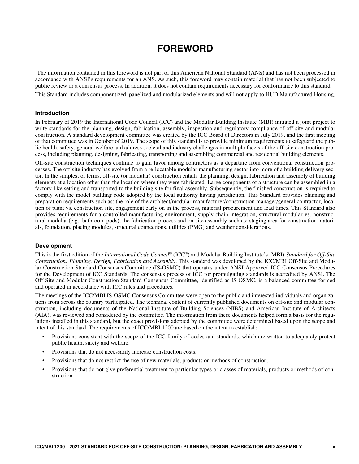## **FOREWORD**

[The information contained in this foreword is not part of this American National Standard (ANS) and has not been processed in accordance with ANSI's requirements for an ANS. As such, this foreword may contain material that has not been subjected to public review or a consensus process. In addition, it does not contain requirements necessary for conformance to this standard.]

This Standard includes componentized, panelized and modularized elements and will not apply to HUD Manufactured Housing.

#### **Introduction**

In February of 2019 the International Code Council (ICC) and the Modular Building Institute (MBI) initiated a joint project to write standards for the planning, design, fabrication, assembly, inspection and regulatory compliance of off-site and modular construction. A standard development committee was created by the ICC Board of Directors in July 2019, and the first meeting of that committee was in October of 2019. The scope of this standard is to provide minimum requirements to safeguard the public health, safety, general welfare and address societal and industry challenges in multiple facets of the off-site construction process, including planning, designing, fabricating, transporting and assembling commercial and residential building elements.

Off-site construction techniques continue to gain favor among contractors as a departure from conventional construction processes. The off-site industry has evolved from a re-locatable modular manufacturing sector into more of a building delivery sector. In the simplest of terms, off-site (or modular) construction entails the planning, design, fabrication and assembly of building elements at a location other than the location where they were fabricated. Large components of a structure can be assembled in a factory-like setting and transported to the building site for final assembly. Subsequently, the finished construction is required to comply with the model building code adopted by the local authority having jurisdiction. This Standard provides planning and preparation requirements such as: the role of the architect/modular manufacturer/construction manager/general contractor, location of plant vs. construction site, engagement early on in the process, material procurement and lead times. This Standard also provides requirements for a controlled manufacturing environment, supply chain integration, structural modular vs. nonstructural modular (e.g., bathroom pods), the fabrication process and on-site assembly such as: staging area for construction materials, foundation, placing modules, structural connections, utilities (PMG) and weather considerations.

#### **Development**

This is the first edition of the *International Code Council*® (ICC®) and Modular Building Institute's (MBI) *Standard for Off-Site Construction: Planning, Design, Fabrication and Assembly*. This standard was developed by the ICC/MBI Off-Site and Modular Construction Standard Consensus Committee (IS-OSMC) that operates under ANSI Approved ICC Consensus Procedures for the Development of ICC Standards. The consensus process of ICC for promulgating standards is accredited by ANSI. The Off-Site and Modular Construction Standard Consensus Committee, identified as IS-OSMC, is a balanced committee formed and operated in accordance with ICC rules and procedures.

The meetings of the ICC/MBI IS-OSMC Consensus Committee were open to the public and interested individuals and organizations from across the country participated. The technical content of currently published documents on off-site and modular construction, including documents of the National Institute of Building Sciences (NIBS) and American Institute of Architects (AIA), was reviewed and considered by the committee. The information from these documents helped form a basis for the regulations installed in this standard, but the exact provisions adopted by the committee were determined based upon the scope and intent of this standard. The requirements of ICC/MBI 1200 are based on the intent to establish:

- Provisions consistent with the scope of the ICC family of codes and standards, which are written to adequately protect public health, safety and welfare.
- Provisions that do not necessarily increase construction costs.
- Provisions that do not restrict the use of new materials, products or methods of construction.
- Provisions that do not give preferential treatment to particular types or classes of materials, products or methods of construction.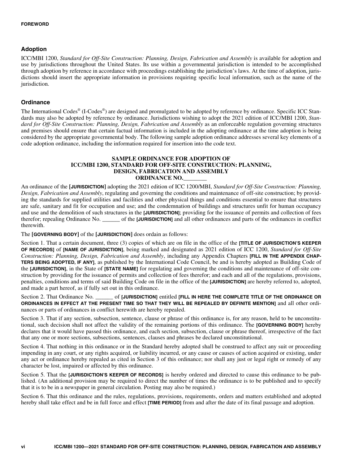#### **Adoption**

ICC/MBI 1200, *Standard for Off-Site Construction: Planning, Design, Fabrication and Assembly* is available for adoption and use by jurisdictions throughout the United States. Its use within a governmental jurisdiction is intended to be accomplished through adoption by reference in accordance with proceedings establishing the jurisdiction's laws. At the time of adoption, jurisdictions should insert the appropriate information in provisions requiring specific local information, such as the name of the jurisdiction.

#### **Ordinance**

The International Codes® (I-Codes®) are designed and promulgated to be adopted by reference by ordinance. Specific ICC Standards may also be adopted by reference by ordinance. Jurisdictions wishing to adopt the 2021 edition of ICC/MBI 1200, *Standard for Off-Site Construction: Planning, Design, Fabrication and Assembly* as an enforceable regulation governing structures and premises should ensure that certain factual information is included in the adopting ordinance at the time adoption is being considered by the appropriate governmental body. The following sample adoption ordinance addresses several key elements of a code adoption ordinance, including the information required for insertion into the code text.

#### **SAMPLE ORDINANCE FOR ADOPTION OF ICC/MBI 1200, STANDARD FOR OFF-SITE CONSTRUCTION: PLANNING, DESIGN, FABRICATION AND ASSEMBLY ORDINANCE NO.\_\_\_\_\_\_\_\_**

An ordinance of the **[JURISDICTION]** adopting the 2021 edition of ICC 1200/MBI, *Standard for Off-Site Construction: Planning, Design, Fabrication and Assembly*, regulating and governing the conditions and maintenance of off-site construction; by providing the standards for supplied utilities and facilities and other physical things and conditions essential to ensure that structures are safe, sanitary and fit for occupation and use; and the condemnation of buildings and structures unfit for human occupancy and use and the demolition of such structures in the **[JURISDICTION]**; providing for the issuance of permits and collection of fees therefor; repealing Ordinance No. \_\_\_\_\_\_ of the **[JURISDICTION]** and all other ordinances and parts of the ordinances in conflict therewith.

The **[GOVERNING BODY]** of the **[JURISDICTION]** does ordain as follows:

Section 1. That a certain document, three (3) copies of which are on file in the office of the **[TITLE OF JURISDICTION'S KEEPER OF RECORDS]** of **[NAME OF JURISDICTION]**, being marked and designated as 2021 edition of ICC 1200, *Standard for Off-Site Construction: Planning, Design, Fabrication and Assembly*, including any Appendix Chapters **[FILL IN THE APPENDIX CHAP-TERS BEING ADOPTED, IF ANY]**, as published by the International Code Council, be and is hereby adopted as Building Code of the **[JURISDICTION]**, in the State of **[STATE NAME]** for regulating and governing the conditions and maintenance of off-site construction by providing for the issuance of permits and collection of fees therefor; and each and all of the regulations, provisions, penalties, conditions and terms of said Building Code on file in the office of the **[JURISDICTION]** are hereby referred to, adopted, and made a part hereof, as if fully set out in this ordinance.

Section 2. That Ordinance No. \_\_\_\_\_\_ of **[JURISDICTION]** entitled **[FILL IN HERE THE COMPLETE TITLE OF THE ORDINANCE OR ORDINANCES IN EFFECT AT THE PRESENT TIME SO THAT THEY WILL BE REPEALED BY DEFINITE MENTION]** and all other ordinances or parts of ordinances in conflict herewith are hereby repealed.

Section 3. That if any section, subsection, sentence, clause or phrase of this ordinance is, for any reason, held to be unconstitutional, such decision shall not affect the validity of the remaining portions of this ordinance. The **[GOVERNING BODY]** hereby declares that it would have passed this ordinance, and each section, subsection, clause or phrase thereof, irrespective of the fact that any one or more sections, subsections, sentences, clauses and phrases be declared unconstitutional.

Section 4. That nothing in this ordinance or in the Standard hereby adopted shall be construed to affect any suit or proceeding impending in any court, or any rights acquired, or liability incurred, or any cause or causes of action acquired or existing, under any act or ordinance hereby repealed as cited in Section 3 of this ordinance; nor shall any just or legal right or remedy of any character be lost, impaired or affected by this ordinance.

Section 5. That the **[JURISDICTION'S KEEPER OF RECORDS]** is hereby ordered and directed to cause this ordinance to be published. (An additional provision may be required to direct the number of times the ordinance is to be published and to specify that it is to be in a newspaper in general circulation. Posting may also be required.)

Section 6. That this ordinance and the rules, regulations, provisions, requirements, orders and matters established and adopted hereby shall take effect and be in full force and effect **[TIME PERIOD]** from and after the date of its final passage and adoption.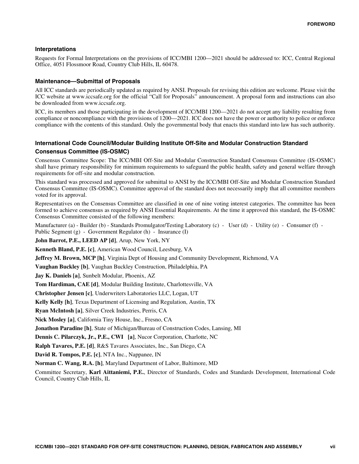#### **Interpretations**

Requests for Formal Interpretations on the provisions of ICC/MBI 1200—2021 should be addressed to: ICC, Central Regional Office, 4051 Flossmoor Road, Country Club Hills, IL 60478.

#### **Maintenance—Submittal of Proposals**

All ICC standards are periodically updated as required by ANSI. Proposals for revising this edition are welcome. Please visit the ICC website at www.iccsafe.org for the official "Call for Proposals" announcement. A proposal form and instructions can also be downloaded from www.iccsafe.org.

ICC, its members and those participating in the development of ICC/MBI 1200—2021 do not accept any liability resulting from compliance or noncompliance with the provisions of 1200—2021. ICC does not have the power or authority to police or enforce compliance with the contents of this standard. Only the governmental body that enacts this standard into law has such authority.

#### **International Code Council/Modular Building Institute Off-Site and Modular Construction Standard Consensus Committee (IS-OSMC)**

Consensus Committee Scope: The ICC/MBI Off-Site and Modular Construction Standard Consensus Committee (IS-OSMC) shall have primary responsibility for minimum requirements to safeguard the public health, safety and general welfare through requirements for off-site and modular construction.

This standard was processed and approved for submittal to ANSI by the ICC/MBI Off-Site and Modular Construction Standard Consensus Committee (IS-OSMC). Committee approval of the standard does not necessarily imply that all committee members voted for its approval.

Representatives on the Consensus Committee are classified in one of nine voting interest categories. The committee has been formed to achieve consensus as required by ANSI Essential Requirements. At the time it approved this standard, the IS-OSMC Consensus Committee consisted of the following members:

Manufacturer (a) - Builder (b) - Standards Promulgator/Testing Laboratory (c) - User (d) - Utility (e) - Consumer (f) - Public Segment (g) - Government Regulator (h) - Insurance (I)

**John Barrot, P.E., LEED AP [d]**, Arup, New York, NY

**Kenneth Bland, P.E. [c]**, American Wood Council, Leesburg, VA

**Jeffrey M. Brown, MCP [h]**, Virginia Dept of Housing and Community Development, Richmond, VA

**Vaughan Buckley [b]**, Vaughan Buckley Construction, Philadelphia, PA

**Jay K. Daniels [a]**, Sunbelt Modular, Phoenix, AZ

**Tom Hardiman, CAE [d]**, Modular Building Institute, Charlottesville, VA

**Christopher Jensen [c]**, Underwriters Laboratories LLC, Logan, UT

**Kelly Kelly [h]**, Texas Department of Licensing and Regulation, Austin, TX

**Ryan McIntosh [a]**, Silver Creek Industries, Perris, CA

**Nick Mosley [a]**, California Tiny House, Inc., Fresno, CA

**Jonathon Paradine [h]**, State of Michigan/Bureau of Construction Codes, Lansing, MI

**Dennis C. Pilarczyk, Jr., P.E., CWI [a]**, Nucor Corporation, Charlotte, NC

**Ralph Tavares, P.E. [d]**, R&S Tavares Associates, Inc., San Diego, CA

**David R. Tompos, P.E. [c]**, NTA Inc., Nappanee, IN

**Norman C. Wang, R.A. [h]**, Maryland Department of Labor, Baltimore, MD

Committee Secretary, **Karl Aittaniemi, P.E.**, Director of Standards, Codes and Standards Development, International Code Council, Country Club Hills, IL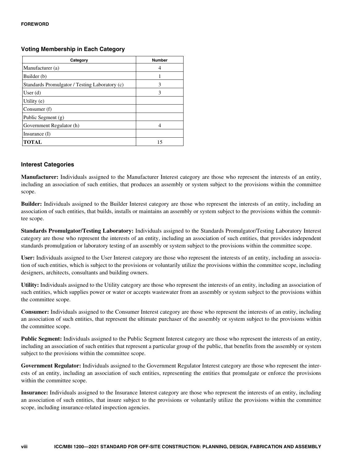#### **Voting Membership in Each Category**

| Category                                       | <b>Number</b> |
|------------------------------------------------|---------------|
| Manufacturer (a)                               |               |
| Builder (b)                                    |               |
| Standards Promulgator / Testing Laboratory (c) | 3             |
| User $(d)$                                     | 3             |
| Utility (e)                                    |               |
| Consumer (f)                                   |               |
| Public Segment (g)                             |               |
| Government Regulator (h)                       |               |
| Insurance $(I)$                                |               |
| <b>TOTAL</b>                                   | 15            |

#### **Interest Categories**

**Manufacturer:** Individuals assigned to the Manufacturer Interest category are those who represent the interests of an entity, including an association of such entities, that produces an assembly or system subject to the provisions within the committee scope.

**Builder:** Individuals assigned to the Builder Interest category are those who represent the interests of an entity, including an association of such entities, that builds, installs or maintains an assembly or system subject to the provisions within the committee scope.

**Standards Promulgator/Testing Laboratory:** Individuals assigned to the Standards Promulgator/Testing Laboratory Interest category are those who represent the interests of an entity, including an association of such entities, that provides independent standards promulgation or laboratory testing of an assembly or system subject to the provisions within the committee scope.

**User:** Individuals assigned to the User Interest category are those who represent the interests of an entity, including an association of such entities, which is subject to the provisions or voluntarily utilize the provisions within the committee scope, including designers, architects, consultants and building owners.

**Utility:** Individuals assigned to the Utility category are those who represent the interests of an entity, including an association of such entities, which supplies power or water or accepts wastewater from an assembly or system subject to the provisions within the committee scope.

**Consumer:** Individuals assigned to the Consumer Interest category are those who represent the interests of an entity, including an association of such entities, that represent the ultimate purchaser of the assembly or system subject to the provisions within the committee scope.

**Public Segment:** Individuals assigned to the Public Segment Interest category are those who represent the interests of an entity, including an association of such entities that represent a particular group of the public, that benefits from the assembly or system subject to the provisions within the committee scope.

**Government Regulator:** Individuals assigned to the Government Regulator Interest category are those who represent the interests of an entity, including an association of such entities, representing the entities that promulgate or enforce the provisions within the committee scope.

**Insurance:** Individuals assigned to the Insurance Interest category are those who represent the interests of an entity, including an association of such entities, that insure subject to the provisions or voluntarily utilize the provisions within the committee scope, including insurance-related inspection agencies.